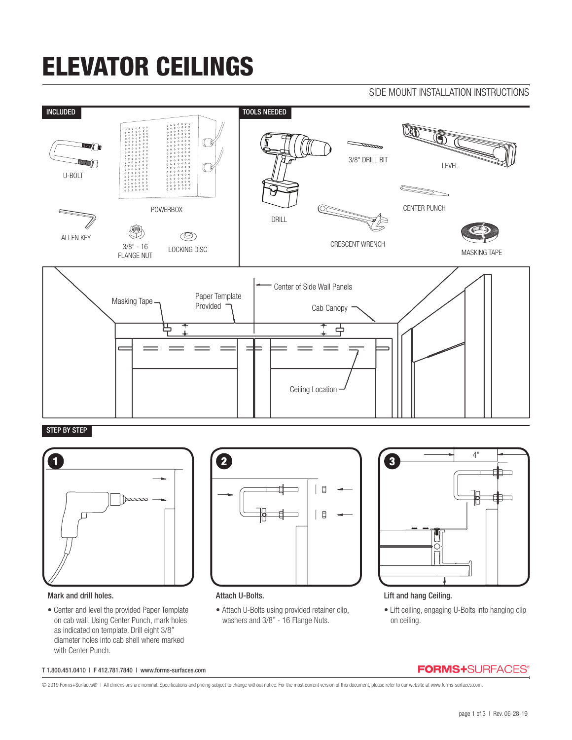# ELEVATOR CEILINGS



### STEP BY STEP



# ₿  $\mathsf g$  $\overline{\phantom{a}}$



### Mark and drill holes.

• Center and level the provided Paper Template on cab wall. Using Center Punch, mark holes as indicated on template. Drill eight 3/8" diameter holes into cab shell where marked with Center Punch.

### Attach U-Bolts.

• Attach U-Bolts using provided retainer clip, washers and 3/8" - 16 Flange Nuts.

### Lift and hang Ceiling.

• Lift ceiling, engaging U-Bolts into hanging clip on ceiling.

#### T 1.800.451.0410 | F 412.781.7840 | www.forms-surfaces.com

© 2019 Forms+Surfaces® | All dimensions are nominal. Specifications and pricing subject to change without notice. For the most current version of this document, please refer to our website at www.forms-surfaces.com.

# **FORMS+**SURFACES®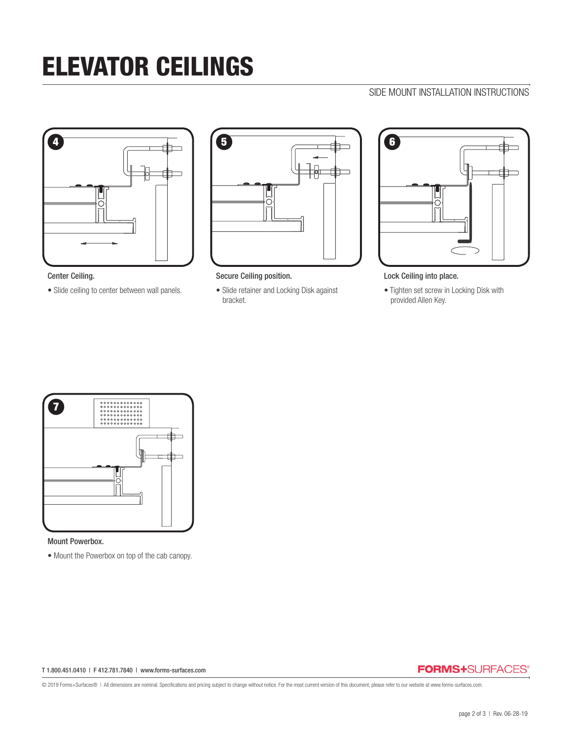# ELEVATOR CEILINGS

## SIDE MOUNT INSTALLATION INSTRUCTIONS



Center Ceiling.

• Slide ceiling to center between wall panels.



Secure Ceiling position.

• Slide retainer and Locking Disk against bracket.



Lock Ceiling into place.

• Tighten set screw in Locking Disk with provided Allen Key.

![](_page_1_Figure_11.jpeg)

#### Mount Powerbox.

• Mount the Powerbox on top of the cab canopy.

#### T 1.800.451.0410 | F 412.781.7840 | www.forms-surfaces.com

### **FORMS+**SURFACES®

© 2019 Forms+Surfaces® | All dimensions are nominal. Specifications and pricing subject to change without notice. For the most current version of this document, please refer to our website at www.forms-surfaces.com.